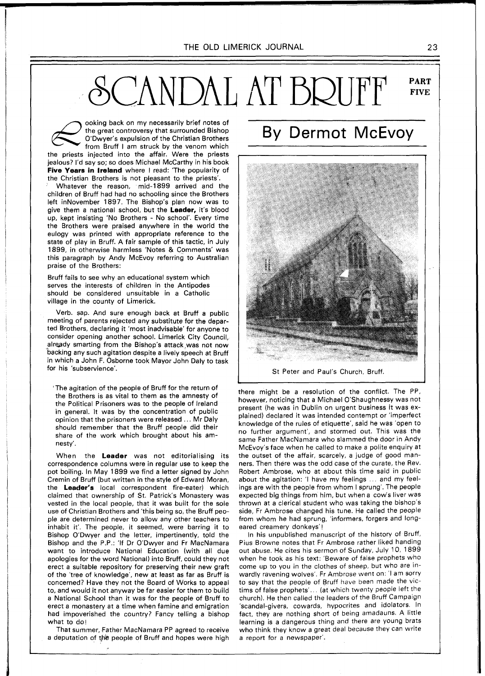## CANDAL AT BRUFF **PART FIVE**

ooking back on my necessarily brief notes of the great controversy that surrounded Bishop O'Dwyer's expulsion of the Christian Brothers from Bruff I am struck by the venom which the priests injected into the affair. Were the priests jealous? I'd say so; so does Michael McCarthy in his book **Five Years in Ireland** where I read: 'The popularity of the Christian Brothers is not pleasant to the priests'.

Whatever the reason, mid-1899 arrived and the children of Bruff had had no schooling since the Brothers left inNovember 1897. The Bishop's plan now was to give them a national school, but the **Leader,** it's blood up, kept insisting 'No Brothers - No school'. Every time the Brothers were praised anywhere in the world the eulogy was printed with appropriate reference to the state of play in Bruff. A fair sample of this tactic, in July 1899, in otherwise harmless 'Notes & Comments' was this paragraph by Andy McEvoy referring to Australian praise of the Brothers:

Bruff fails to see why an educational system which serves the interests of children in the Antipodes should be considered unsuitable in a Catholic village in the county of Limerick.

Verb. sap. And sure enough back at Bruff a public meeting of parents rejected any substitute for the departed Brothers, declaring it 'most inadvisable' for anyone to consider opening another school. Limerick City Council, already smarting from the Bishop's attack was not now backing any such agitation despite a lively speech at Bruff in which a John F. Osborne took Mayor John Daly to task for his 'subservience'.

'The agitation of the people of Bruff for the return of the Brothers is as vital to them as the amnesty of the Political Prisoners was to the people of Ireland in general. It was by the concentration of public opinion that the prisoners were released ... Mr Daly should remember that the Bruff people did their share of the work which brought about his amnesty'.

When the **Leader** was not editorialising its correspondence columns were in regular use to keep the pot boiling. In May 1899 we find a letter signed by John Cremin of Bruff (but written in the style of Edward Moran, the **Leader's** local correspondent fire-eater) which claimed that ownership of St. Patrick's Monastery was vested in the local people, that it was built for the sole use of Christian Brothers and 'this being so, the Bruff people are determined never to allow any other teachers to inhabit it'. The people, it seemed, were barring it to Bishop O'Dwyer and the letter, impertinently, told the Bishop and the P.P.: 'If Dr O'Dwyer and Fr MacNamara want to introduce National Education (with all due apologies for the word National) into Bruff, could they not erect a suitable repository for preserving their new graft of the 'tree of knowledge', new at least as far as Bruff is concerned? Have they not the Board of Works to appeal to, and would it not anyway be far easier for them to build a National School than it was for the people of Bruff to erect a monastery at a time when famine and emigration had impoverished the country? Fancy telling a bishop what to do!

That summer, Father MacNamara PP agreed to receive a deputation of the people of Bruff and hopes were high

## By Dermot McEvoy



St Peter and Paul's Church, Bruff.

there might be a resolution of the conflict. The PP, however, noticing that a Michael O'Shaughnessy was not present (he was in Dublin on urgent business it was explained) declared it was intended contempt or 'imperfect knowledge of the rules of etiquette', said he was 'open to no further argument', and stormed out. This was the same Father MacNamara who slammed the door in Andy McEvoy's face when he called to make a polite enquiry at the outset of the affair, scarcely, a judge of good manners. Then there was the odd case of the curate, the Rev. Robert Ambrose, who at about this time said in public about the agitation: 'I have my feelings ... and my feelings are with the people from whom I sprung'. The people expected big things from him, but when a cow's liver was thrown at a clerical student who was taking the bishop's side, Fr Ambrose changed his tune. He called the people from whom he had sprung, 'informers, forgers and longeared creamery donkeys'l

In his unpublished manuscript of the history of Bruff, Pius Browne notes that Fr Ambrose rather liked handing out abuse. He cites his sermon of Sunday, July 10, 1899 when he took as his text: 'Beware of false prophets who come up to you in the clothes of sheep, but who are inwardly ravening wolves'. Fr Ambrose went on: 'l am sorry to say that the people of Bruff have been made the victims of false prophets'... (at which twenty people left the church). He then called the leaders of the Bruff Campaign 'scandal-givers, cowards, hypocrites and idolators. In fact, they are nothing short of being amadauns. A little learning is a dangerous thing and there are young brats who think they know a great deal because they can write a report for a newspaper'.